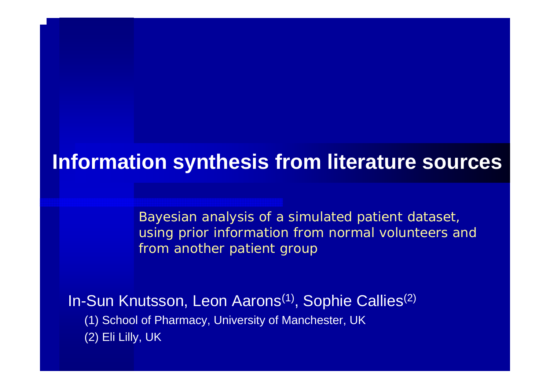### **Information synthesis from literature sources**

*Bayesian analysis of a simulated patient dataset, using prior information from normal volunteers and from another patient group*

In-Sun Knutsson, Leon Aarons<sup>(1)</sup>, Sophie Callies<sup>(2)</sup> (1) School of Pharmacy, University of Manchester, UK (2) Eli Lilly, UK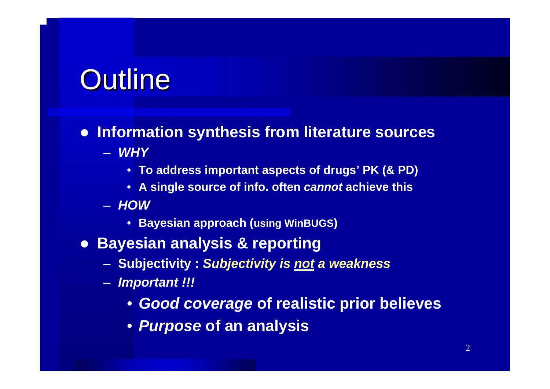# **Outline**

### **• Information synthesis from literature sources**

- *WHY*
	- **To address important aspects of drugs' PK (& PD)**
	- **A single source of info. often** *cannot* **achieve this**
- *HOW*
	- **Bayesian approach (using WinBUGS)**
- **Bayesian analysis & reporting** 
	- **Subjectivity :** *Subjectivity is not a weakness*
	- *Important !!!*
		- *Good coverage* **of realistic prior believes**
		- *Purpose* **of an analysis**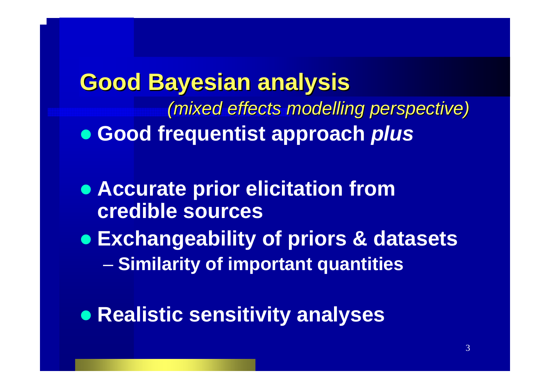## **Good Bayesian analysis Good Bayesian analysis** *(mixed effects modelling perspective) (mixed effects modelling perspective)* z **Good frequentist approach** *plus*

- **Accurate prior elicitation from credible sources**
- z **Exchangeability of priors & datasets** experience and the second **Similarity of important quantities**
- **Realistic sensitivity analyses**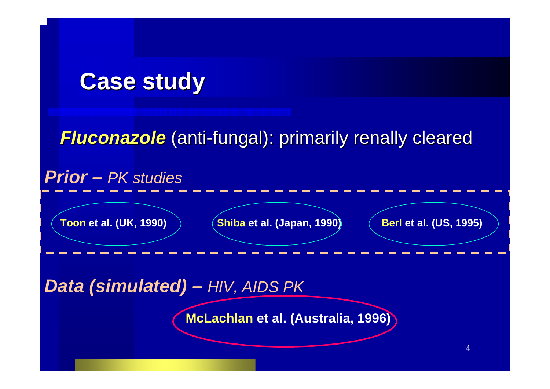## **Case study Case study**

### *Fluconazole Fluconazole* (anti-fungal): primarily renally cleared fungal): primarily renally cleared

### *Prior – PK studies*

**Toon et al. (UK, 1990)** 

**et al. (UK, 1990) Shiba et al. (Japan, 1990) Berl et al. (US, 1995)**

*Data (simulated) – HIV, AIDS PK*

**McLachlan et al. (Australia, 1996)**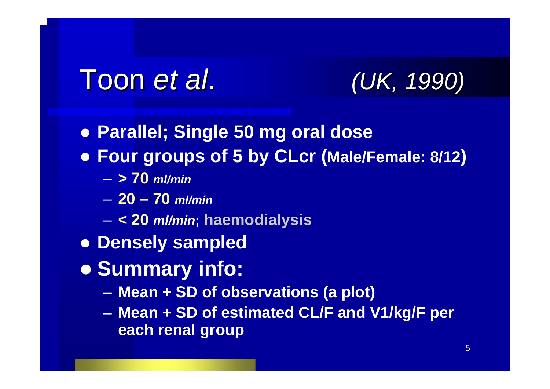# Toon *et al*. *(UK, 1990) (UK, 1990)*



- z **Parallel; Single 50 mg oral dose**
- z **Four groups of 5 by CLcr (Male/Female: 8/12)**
	- **> 70** *ml/min*
	- **20 – 70** *ml/min*
	- –**< 20** *ml/min***; haemodialysis**
- **Densely sampled**
- $\bullet$  **Summary info:** 
	- –**Mean + SD of observations (a plot)**
	- **Holland** Controller **Mean + SD of estimated CL/F and V1/kg/F per each renal group**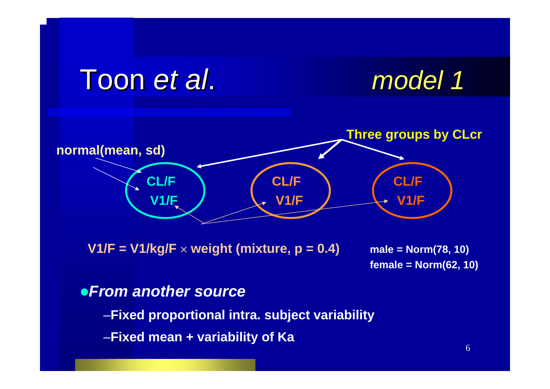### Toon *et al*. *model 1 model 1* **CL/FV1/F CL/FV1/FCL/FV1/Fnormal(mean, sd) Three groups by CLcr**

**V1/F = V1/kg/F** <sup>×</sup> **weight (mixture, p = 0.4) male = Norm(78, 10)**

**female = Norm(62, 10)**

### z*From another source*

–**Fixed proportional intra. subject variability**

–**Fixed mean + variability of Ka**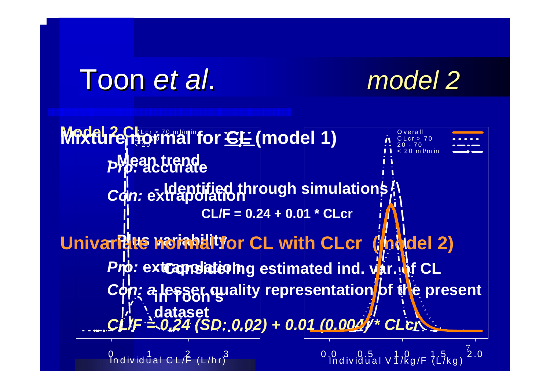# Toon *et al*. *model 2 model 2*





01232233 In d iv idual C L /F (L /h r)

7 0 .0 <sup>0</sup> .5 <sup>1</sup> .0 <sup>1</sup> .5 <sup>2</sup> .0 In d iv idual V 1 /k g /F (L /k g )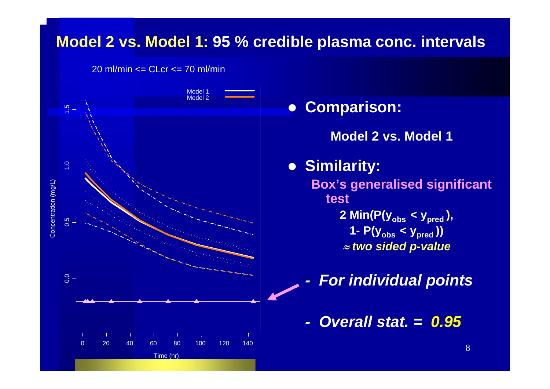### **Model 2 vs. Model 1: 95 % credible plasma conc. intervals**

20 ml/min <= CLcr <= 70 ml/min



 $\bullet$  **Comparison: Model 2 vs. Model 1**z **Similarity: Box's generalised significant test2 Min(P(yobs < ypred ), 1- P(yobs < ypred ))** ≈ *two sided p-value*

*-For individual points*

*- Overall stat. = 0.95*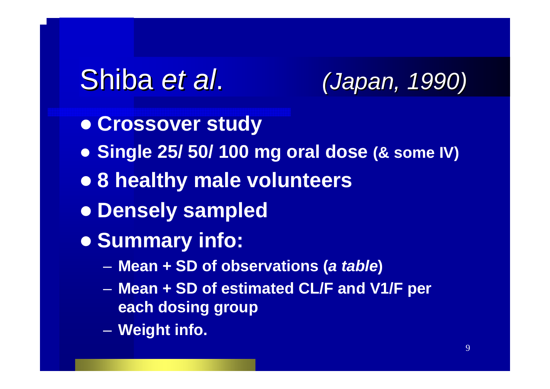# Shiba *et al*. *(Japan, 1990) (Japan, 1990)*

- $\bullet$  **Crossover study**
- z **Single 25/ 50/ 100 mg oral dose (& some IV)**
- z **8 healthy male volunteers**
- **Densely sampled**
- $\bullet$  **Summary info:** 
	- –**Mean + SD of observations (***a table***)**
	- – **Mean + SD of estimated CL/F and V1/F per each dosing group**
	- **Line Communication Weight info.**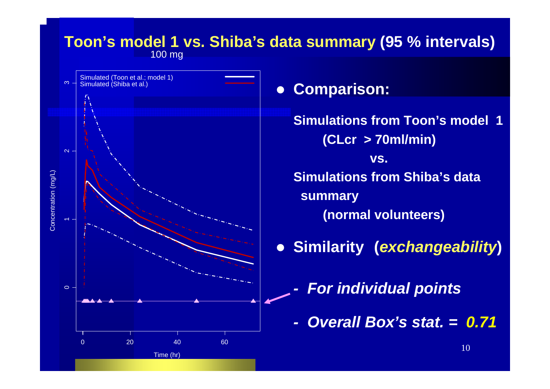#### 100 mg **Toon's model 1 vs. Shiba's data summary (95 % intervals)**



#### $\bullet$ **Comparison:**

**Simulations from Toon's model 1 (CLcr > 70ml/min) vs. Simulations from Shiba's data summary (normal volunteers)**

 $\bullet$ **Similarity (***exchangeability***)**

- *-For individual points*
- *- Overall Box's stat. = 0.71*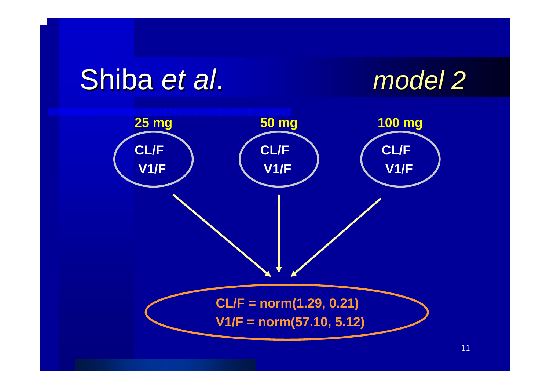# Shiba *et al*. *model 2 model 2*



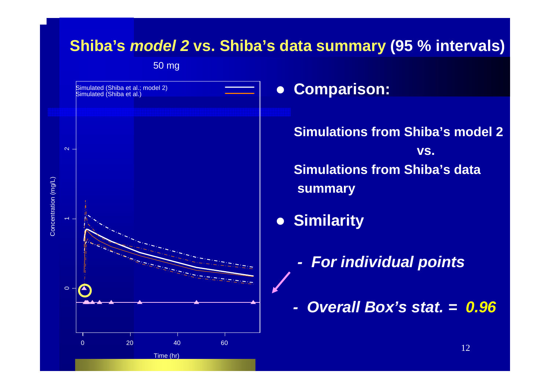### **Shiba's** *model 2* **vs. Shiba's data summary (95 % intervals)**

50 mg



### **• Comparison:**

**Simulations from Shiba's model 2 vs. Simulations from Shiba's data summary**

- $\bullet$  **Similarity**
	- *-For individual points*
	- *- Overall Box's stat. = 0.96*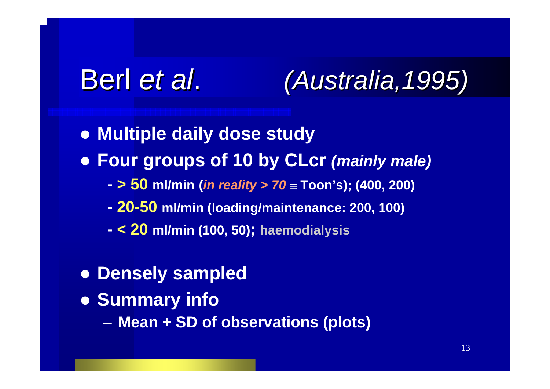# Berl *et al*. *(Australia,1995) (Australia,1995)*

- **Multiple daily dose study**
- z **Four groups of 10 by CLcr** *(mainly male)*
	- **- > 50 ml/min (***in reality > 70* <sup>≡</sup> **Toon's); (400, 200)**
	- **- 20-50 ml/min (loading/maintenance: 200, 100)**
	- **- < 20 ml/min (100, 50); haemodialysis**
- **Densely sampled**
- **Summary info** 
	- –**Mean + SD of observations (plots)**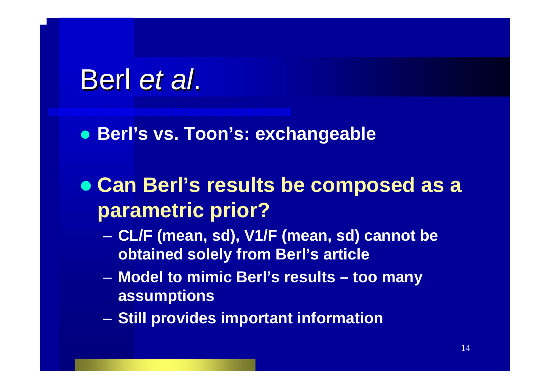# Berl *et al*.

### z **Berl's vs. Toon's: exchangeable**

## z **Can Berl's results be composed as a parametric prior?**

- **Line Communication CL/F (mean, sd), V1/F (mean, sd) cannot be obtained solely from Berl's article**
- – **Model to mimic Berl's results – too many assumptions**
- –**Still provides important information**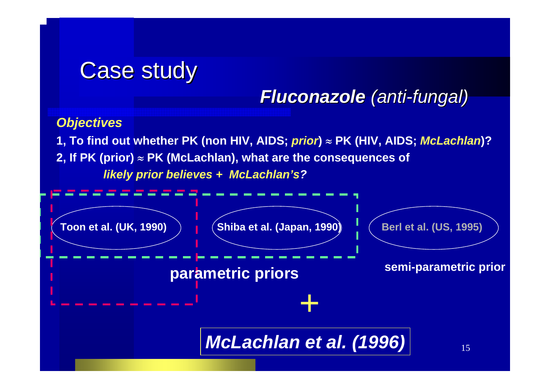## **Case study**

### *Fluconazole Fluconazole (anti-fungal) fungal)*

#### *Objectives*

**1, To find out whether PK (non HIV, AIDS;** *prior***)** <sup>≈</sup> **PK (HIV, AIDS;** *McLachlan***)? 2, If PK (prior)** <sup>≈</sup> **PK (McLachlan), what are the consequences of**  *likely prior believes + McLachlan's?*

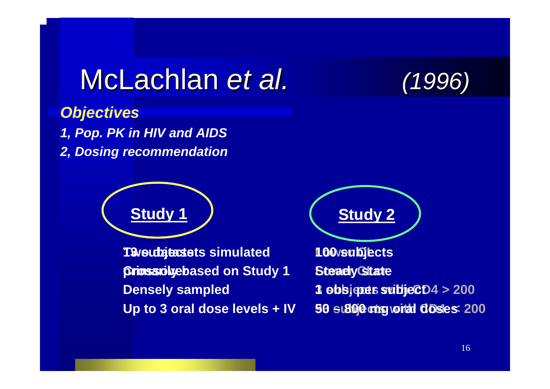# McLachlan McLachlan *et al. (1996)*

*Objectives 1, Pop. PK in HIV and AIDS 2, Dosing recommendation*



**Two datasets simulated 13 subjects primarily based on Study 1 Crossover Densely sampled Up to 3 oral dose levels + IV**

**Lower CL 100 subjects Steady State 3 obs.jpes subjeC**D4 > 200 **93 subjects with CD4 < 200 50 – 800 mg oral doses**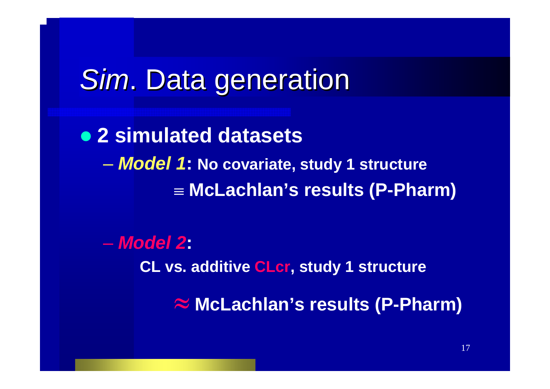# **Sim. Data generation**

z **2 simulated datasets** *Model 1***: No covariate, study 1 structure** ≡ **McLachlan's results (P-Pharm)**

– *Model 2***: CL vs. additive CLcr, study 1 structure** ≈ **McLachlan's results (P-Pharm)**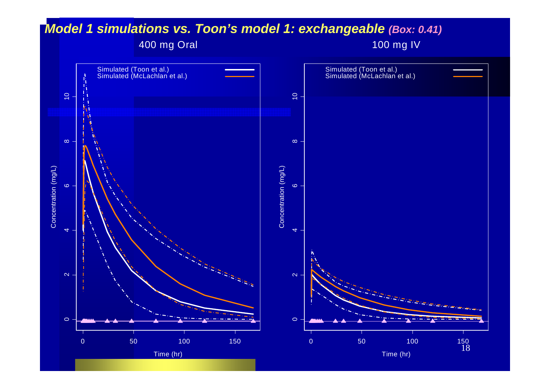#### *Model 1 simulations vs. Toon's model 1: exchangeable (Box: 0.41)*

#### 400 mg Oral

100 mg IV

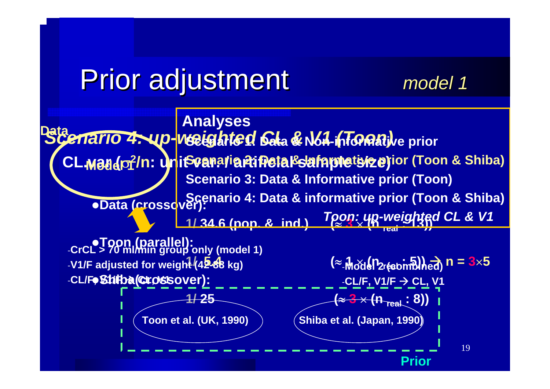# Prior adjustment Prior adjustment *model 1 model 1*

19Scenario 4: up-weeghted Gala & Non-informative prior  $\mathsf{CL}\text{-}\mathsf{M}\text{-}\mathsf{B}\text{-}\mathsf{B}$  (areone in the prior formation of the prior (Toon & Shiba) <sup>z</sup>**Data (crossover): 1/ 34.6 (pop. & ind.) (** ≈**3**× **(n real : 13))** z**Toon (parallel):**  -**CrCL > 70 ml/min group only (model 1) 1/ 5.4** -**V1/F adjusted f or weight (42-88 kg)**  $(≈_1$ Model 2respmblied) n = 3×5 **-CL/F, Shiba(Crossover): 1/ 25(** ≈ **3**  × **(n real : 8)) Analyses Scenario 3: Data & Informative prior (Toon) Scenario 4: Data & informative prior (Toon & Shiba)** *Toon: up-weighted CL & V1* **Toon e t al. (UK, 1990) Shiba e t al. (Japan, 1990) PriorData** -**CL/F, V1/F**  Æ **CL, V1**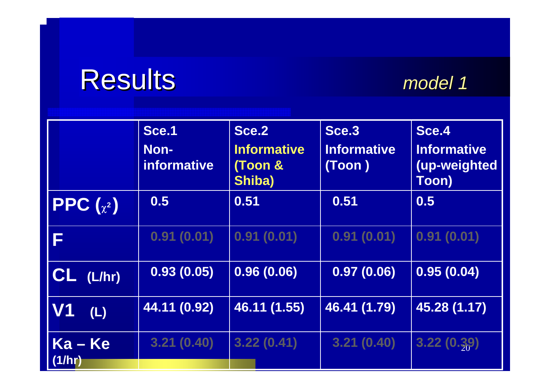# Results Results *model 1 model 1*

|                       | Sce.1<br>Non-<br>informative | Sce.2<br><b>Informative</b><br>(Toon &<br>Shiba) | Sce.3<br><b>Informative</b><br>(Toon) | Sce <sub>.4</sub><br><b>Informative</b><br>(up-weighted<br>Toon) |
|-----------------------|------------------------------|--------------------------------------------------|---------------------------------------|------------------------------------------------------------------|
| <b>PPC</b> $(x^2)$    | 0.5                          | 0.51                                             | 0.51                                  | 0.5                                                              |
| F                     | 0.91(0.01)                   | 0.91(0.01)                                       | 0.91(0.01)                            | 0.91(0.01)                                                       |
| $CL$ (L/hr)           | 0.93(0.05)                   | 0.96(0.06)                                       | 0.97(0.06)                            | 0.95(0.04)                                                       |
| V <sub>1</sub><br>(L) | 44.11 (0.92)                 | 46.11 (1.55)                                     | 46.41 (1.79)                          | 45.28 (1.17)                                                     |
| $Ka - Ke$<br>(1/hr)   | 3.21(0.40)                   | 3.22(0.41)                                       | 3.21(0.40)                            | 3.22(0.39)                                                       |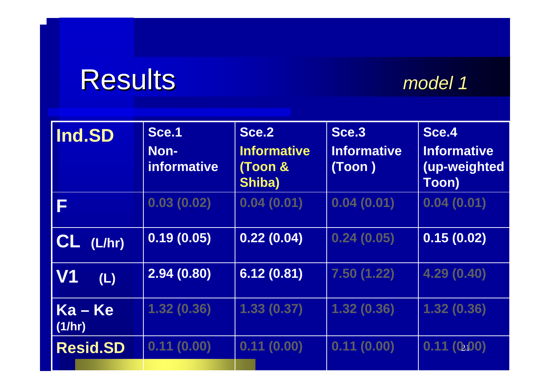# Results Results *model 1 model 1*

| Ind.SD              | Sce.1<br>Non-<br>informative | Sce.2<br><b>Informative</b><br>(Toon &<br>Shiba) | Sce.3<br><b>Informative</b><br>(Toon) | Sce.4<br><b>Informative</b><br>(up-weighted<br><b>Toon)</b> |
|---------------------|------------------------------|--------------------------------------------------|---------------------------------------|-------------------------------------------------------------|
| F                   | 0.03(0.02)                   | 0.04(0.01)                                       | 0.04(0.01)                            | 0.04(0.01)                                                  |
| $CL$ $(L/hr)$       | 0.19(0.05)                   | 0.22(0.04)                                       | 0.24(0.05)                            | 0.15(0.02)                                                  |
| <b>V1</b><br>(L)    | 2.94(0.80)                   | 6.12(0.81)                                       | 7.50(1.22)                            | 4.29 (0.40)                                                 |
| $Ka - Ke$<br>(1/hr) | 1.32(0.36)                   | 1.33(0.37)                                       | 1.32(0.36)                            | 1.32(0.36)                                                  |
| <b>Resid.SD</b>     | 0.11(0.00)                   | 0.11(0.00)                                       | 0.11(0.00)                            | 0.11(0.00)                                                  |
|                     |                              |                                                  |                                       |                                                             |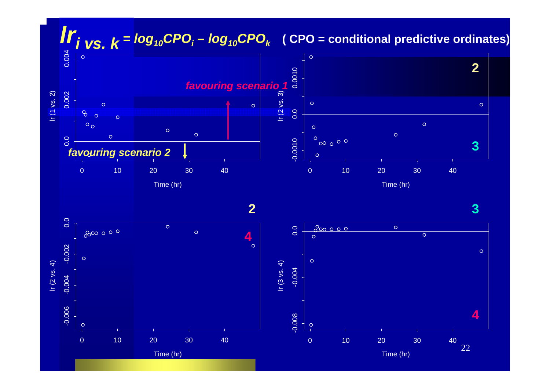## *lri vs. k = log10CPOi – log10CPOk* **( CPO = conditional predictive ordinates)**







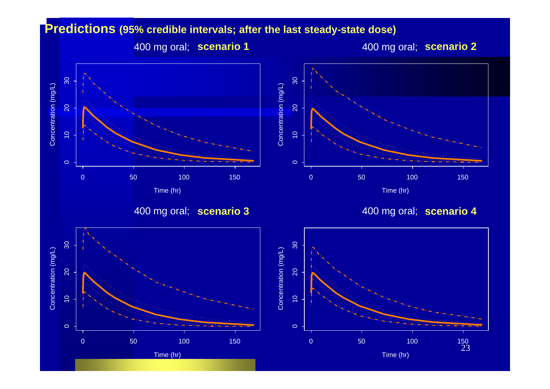#### **Predictions (95% credible intervals; after the last steady-state dose)**

400 mg oral; 2 **scenario 2**

400 mg oral; 1 **scenario 1**

Concentration (mg/L)

Concentration (mg/L)

0

م<br>0

 $\circ$ 

 $\circ$ 

 $\approx$ 

30



400 mg oral; scenario 4





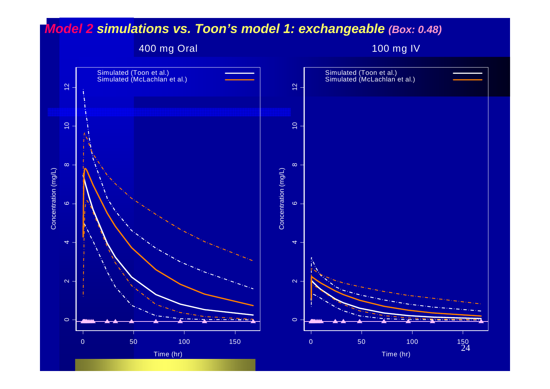#### *Model 2 simulations vs. Toon's model 1: exchangeable (Box: 0.48)*

400 mg Oral

100 mg IV

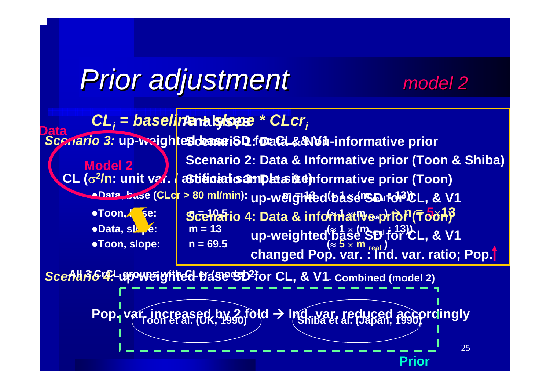# *Prior adjustment Prior adjustment model 2 model 2*

#### $\textsf{CL}_{\textit{i}}$  = baseline analysese \* CLcr<sub>i</sub> <mark>*Scenario 3:* up-weighte**Sdease**i8D f**oaCL&&\b**fi-</mark> **CL (** σ **2/n: u nit var. / artificial sample siz e) Scenario 3: Data & Informative prior (Toon)** <sup>z</sup>**Data, base (CLcr > 80 ml/min): m = 13 (** ≈ **1**  × **(m real : 1 3)) up-weighted base SD for CL, & V1**  $\bullet$ Toon, Se: **n = 10.5 (**<sup>≈</sup> **1**  × **m real )**  Æ **n = 5** ×**13** *•Data, slope:*  $m = 13$  $= 13$   $\cdots$   $\cdots$   $\cdots$   $\cdots$   $\cdots$   $\cdots$   $\cdots$   $\cdots$ <sup>z</sup>**Toon, slope: n = 69.5 (**<sup>≈</sup> **5**  × **m real ) Model 2 Data**<br>
Scenario 3: up-weigh **tes dense i SD f DaCL&& Wh-informative prior Scenario 2: Data & Informative prior (Toon & Shiba) Scenario 4: Data & informative prior (Toon)** up-weighted'base''S'D''for*'*'CL, & V1 **changed Pop. var. : Ind. var. ratio; Pop.**